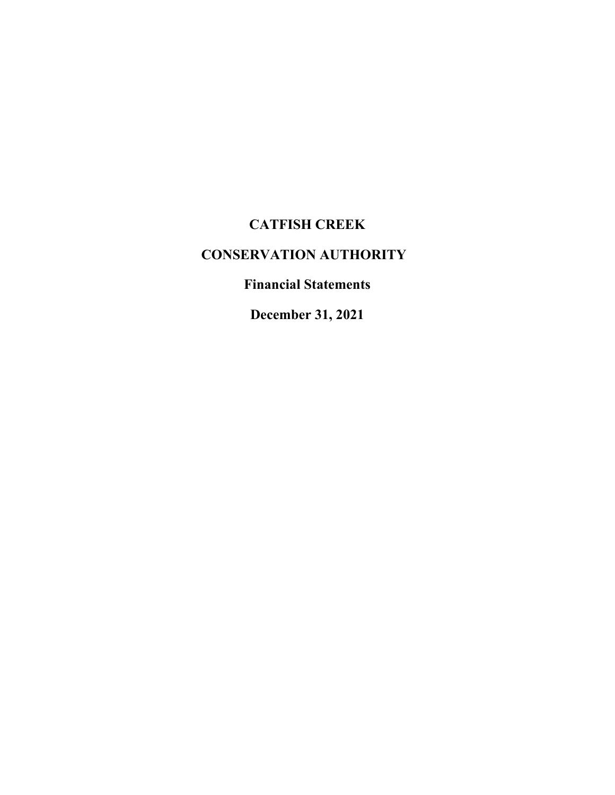# **CATFISH CREEK**

# **CONSERVATION AUTHORITY**

**Financial Statements**

**December 31, 2021**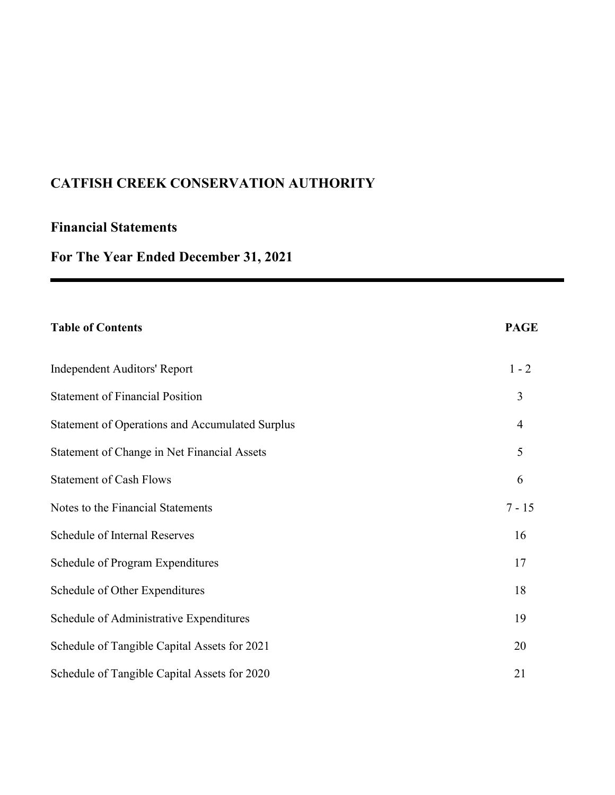## **Financial Statements**

# **For The Year Ended December 31, 2021**

| <b>Table of Contents</b>                               | <b>PAGE</b>    |
|--------------------------------------------------------|----------------|
| <b>Independent Auditors' Report</b>                    | $1 - 2$        |
| <b>Statement of Financial Position</b>                 | 3              |
| <b>Statement of Operations and Accumulated Surplus</b> | $\overline{4}$ |
| Statement of Change in Net Financial Assets            | 5              |
| <b>Statement of Cash Flows</b>                         | 6              |
| Notes to the Financial Statements                      | $7 - 15$       |
| Schedule of Internal Reserves                          | 16             |
| Schedule of Program Expenditures                       | 17             |
| Schedule of Other Expenditures                         | 18             |
| Schedule of Administrative Expenditures                | 19             |
| Schedule of Tangible Capital Assets for 2021           | 20             |
| Schedule of Tangible Capital Assets for 2020           | 21             |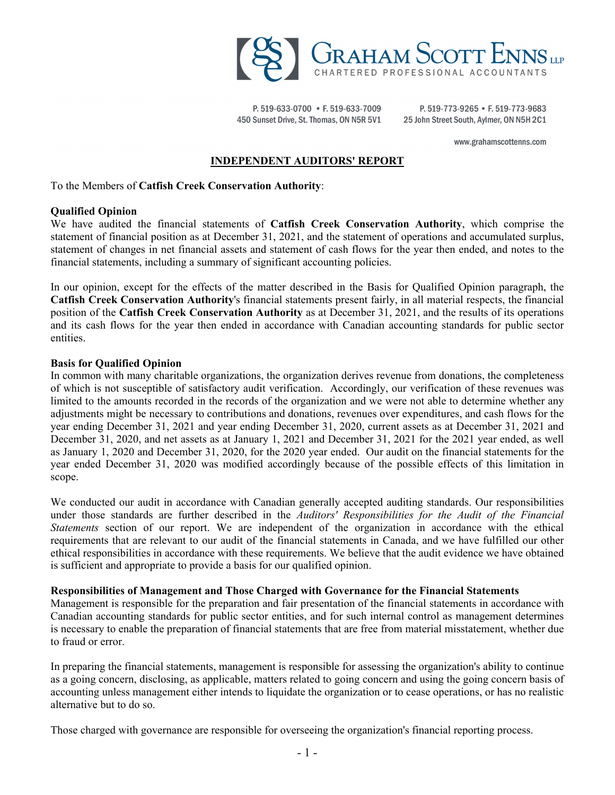

P. 519-633-0700 • F. 519-633-7009 450 Sunset Drive, St. Thomas, ON N5R 5V1

P. 519-773-9265 • F. 519-773-9683 25 John Street South, Aylmer, ON N5H 2C1

www.grahamscottenns.com

#### **INDEPENDENT AUDITORS' REPORT**

To the Members of **Catfish Creek Conservation Authority**:

#### **Qualified Opinion**

We have audited the financial statements of **Catfish Creek Conservation Authority**, which comprise the statement of financial position as at December 31, 2021, and the statement of operations and accumulated surplus, statement of changes in net financial assets and statement of cash flows for the year then ended, and notes to the financial statements, including a summary of significant accounting policies.

In our opinion, except for the effects of the matter described in the Basis for Qualified Opinion paragraph, the **Catfish Creek Conservation Authority**'s financial statements present fairly, in all material respects, the financial position of the **Catfish Creek Conservation Authority** as at December 31, 2021, and the results of its operations and its cash flows for the year then ended in accordance with Canadian accounting standards for public sector entities.

#### **Basis for Qualified Opinion**

In common with many charitable organizations, the organization derives revenue from donations, the completeness of which is not susceptible of satisfactory audit verification. Accordingly, our verification of these revenues was limited to the amounts recorded in the records of the organization and we were not able to determine whether any adjustments might be necessary to contributions and donations, revenues over expenditures, and cash flows for the year ending December 31, 2021 and year ending December 31, 2020, current assets as at December 31, 2021 and December 31, 2020, and net assets as at January 1, 2021 and December 31, 2021 for the 2021 year ended, as well as January 1, 2020 and December 31, 2020, for the 2020 year ended. Our audit on the financial statements for the year ended December 31, 2020 was modified accordingly because of the possible effects of this limitation in scope.

We conducted our audit in accordance with Canadian generally accepted auditing standards. Our responsibilities under those standards are further described in the *Auditors' Responsibilities for the Audit of the Financial Statements* section of our report. We are independent of the organization in accordance with the ethical requirements that are relevant to our audit of the financial statements in Canada, and we have fulfilled our other ethical responsibilities in accordance with these requirements. We believe that the audit evidence we have obtained is sufficient and appropriate to provide a basis for our qualified opinion.

#### **Responsibilities of Management and Those Charged with Governance for the Financial Statements**

Management is responsible for the preparation and fair presentation of the financial statements in accordance with Canadian accounting standards for public sector entities, and for such internal control as management determines is necessary to enable the preparation of financial statements that are free from material misstatement, whether due to fraud or error.

In preparing the financial statements, management is responsible for assessing the organization's ability to continue as a going concern, disclosing, as applicable, matters related to going concern and using the going concern basis of accounting unless management either intends to liquidate the organization or to cease operations, or has no realistic alternative but to do so.

Those charged with governance are responsible for overseeing the organization's financial reporting process.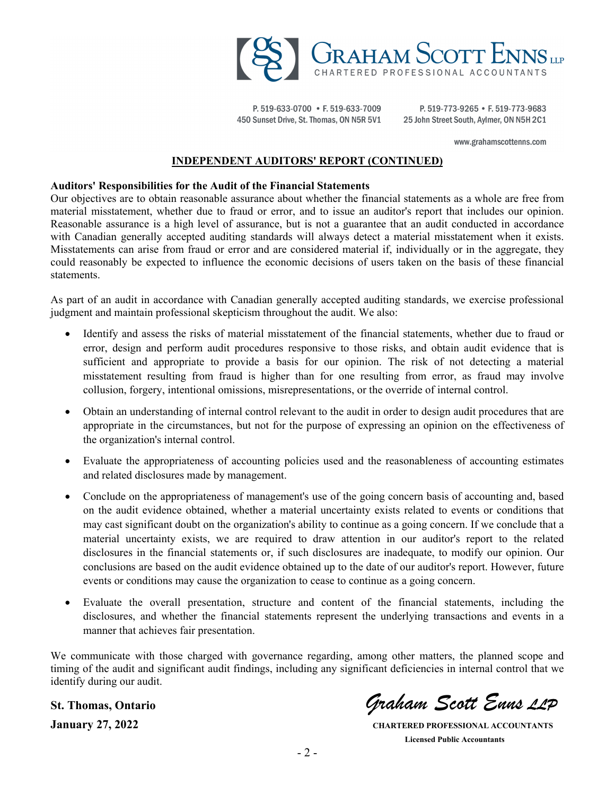

P. 519-633-0700 • F. 519-633-7009 450 Sunset Drive, St. Thomas, ON N5R 5V1

P. 519-773-9265 • F. 519-773-9683 25 John Street South, Aylmer, ON N5H 2C1

www.grahamscottenns.com

### **INDEPENDENT AUDITORS' REPORT (CONTINUED)**

#### **Auditors' Responsibilities for the Audit of the Financial Statements**

Our objectives are to obtain reasonable assurance about whether the financial statements as a whole are free from material misstatement, whether due to fraud or error, and to issue an auditor's report that includes our opinion. Reasonable assurance is a high level of assurance, but is not a guarantee that an audit conducted in accordance with Canadian generally accepted auditing standards will always detect a material misstatement when it exists. Misstatements can arise from fraud or error and are considered material if, individually or in the aggregate, they could reasonably be expected to influence the economic decisions of users taken on the basis of these financial statements.

As part of an audit in accordance with Canadian generally accepted auditing standards, we exercise professional judgment and maintain professional skepticism throughout the audit. We also:

- Identify and assess the risks of material misstatement of the financial statements, whether due to fraud or error, design and perform audit procedures responsive to those risks, and obtain audit evidence that is sufficient and appropriate to provide a basis for our opinion. The risk of not detecting a material misstatement resulting from fraud is higher than for one resulting from error, as fraud may involve collusion, forgery, intentional omissions, misrepresentations, or the override of internal control.
- Obtain an understanding of internal control relevant to the audit in order to design audit procedures that are appropriate in the circumstances, but not for the purpose of expressing an opinion on the effectiveness of the organization's internal control.
- Evaluate the appropriateness of accounting policies used and the reasonableness of accounting estimates and related disclosures made by management.
- Conclude on the appropriateness of management's use of the going concern basis of accounting and, based on the audit evidence obtained, whether a material uncertainty exists related to events or conditions that may cast significant doubt on the organization's ability to continue as a going concern. If we conclude that a material uncertainty exists, we are required to draw attention in our auditor's report to the related disclosures in the financial statements or, if such disclosures are inadequate, to modify our opinion. Our conclusions are based on the audit evidence obtained up to the date of our auditor's report. However, future events or conditions may cause the organization to cease to continue as a going concern.
- Evaluate the overall presentation, structure and content of the financial statements, including the disclosures, and whether the financial statements represent the underlying transactions and events in a manner that achieves fair presentation.

We communicate with those charged with governance regarding, among other matters, the planned scope and timing of the audit and significant audit findings, including any significant deficiencies in internal control that we identify during our audit.

**St. Thomas, Ontario** *Graham Scott Enns LLP*

**January 27, 2022 CHARTERED PROFESSIONAL ACCOUNTANTS Licensed Public Accountants**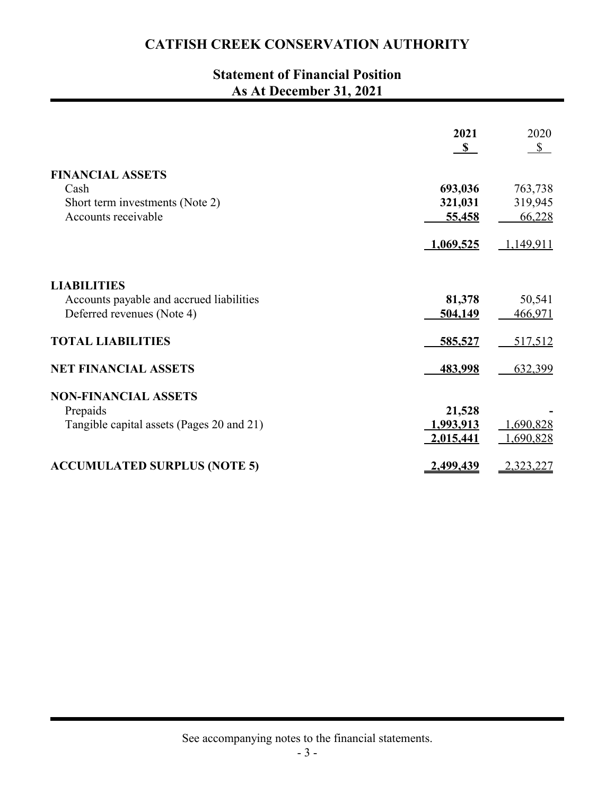## **Statement of Financial Position As At December 31, 2021**

|                                           | 2021         | 2020           |
|-------------------------------------------|--------------|----------------|
|                                           | $\mathbb{S}$ | $\mathbb{S}$   |
|                                           |              |                |
| <b>FINANCIAL ASSETS</b>                   |              |                |
| Cash                                      | 693,036      | 763,738        |
| Short term investments (Note 2)           | 321,031      | 319,945        |
| Accounts receivable                       | 55,458       | 66,228         |
|                                           | 1,069,525    | 1,149,911      |
|                                           |              |                |
| <b>LIABILITIES</b>                        |              |                |
| Accounts payable and accrued liabilities  | 81,378       | 50,541         |
| Deferred revenues (Note 4)                | 504,149      | <u>466,971</u> |
| <b>TOTAL LIABILITIES</b>                  | 585,527      | 517,512        |
| <b>NET FINANCIAL ASSETS</b>               | 483,998      | 632,399        |
| <b>NON-FINANCIAL ASSETS</b>               |              |                |
| Prepaids                                  | 21,528       |                |
| Tangible capital assets (Pages 20 and 21) | 1,993,913    | 1,690,828      |
|                                           | 2,015,441    | 1,690,828      |
| <b>ACCUMULATED SURPLUS (NOTE 5)</b>       | 2,499,439    | 2,323,227      |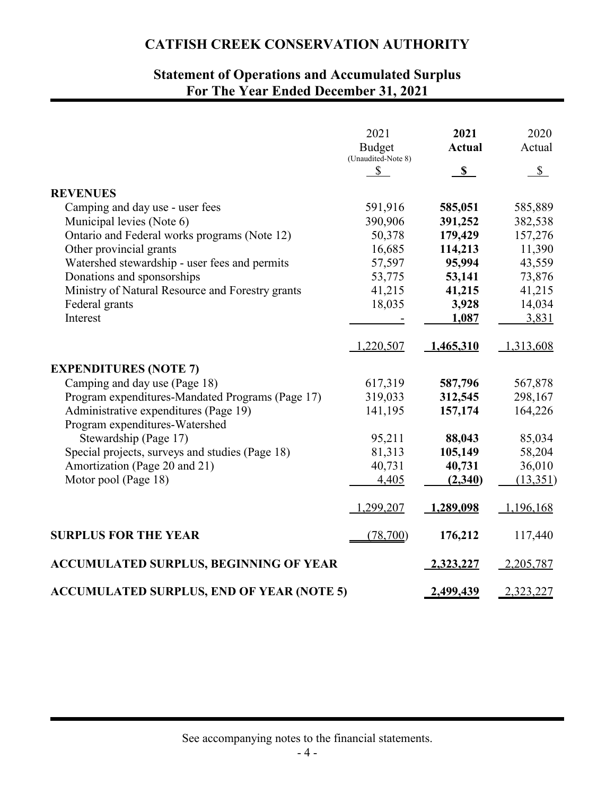## **Statement of Operations and Accumulated Surplus For The Year Ended December 31, 2021**

|                                                                         | 2021<br><b>Budget</b><br>(Unaudited-Note 8)<br>\$ | 2021<br><b>Actual</b><br>$\mathbf{s}$ | 2020<br>Actual<br>$\frac{1}{2}$ |
|-------------------------------------------------------------------------|---------------------------------------------------|---------------------------------------|---------------------------------|
| <b>REVENUES</b>                                                         |                                                   |                                       |                                 |
| Camping and day use - user fees                                         | 591,916                                           | 585,051                               | 585,889                         |
| Municipal levies (Note 6)                                               | 390,906                                           | 391,252                               | 382,538                         |
| Ontario and Federal works programs (Note 12)                            | 50,378                                            | 179,429                               | 157,276                         |
| Other provincial grants                                                 | 16,685                                            | 114,213                               | 11,390                          |
| Watershed stewardship - user fees and permits                           | 57,597                                            | 95,994                                | 43,559                          |
| Donations and sponsorships                                              | 53,775                                            | 53,141                                | 73,876                          |
| Ministry of Natural Resource and Forestry grants                        | 41,215                                            | 41,215                                | 41,215                          |
| Federal grants                                                          | 18,035                                            | 3,928                                 | 14,034                          |
| Interest                                                                |                                                   | 1,087                                 | 3,831                           |
|                                                                         | 1,220,507                                         | 1,465,310                             | 1,313,608                       |
| <b>EXPENDITURES (NOTE 7)</b>                                            |                                                   |                                       |                                 |
| Camping and day use (Page 18)                                           | 617,319                                           | 587,796                               | 567,878                         |
| Program expenditures-Mandated Programs (Page 17)                        | 319,033                                           | 312,545                               | 298,167                         |
| Administrative expenditures (Page 19)<br>Program expenditures-Watershed | 141,195                                           | 157,174                               | 164,226                         |
| Stewardship (Page 17)                                                   | 95,211                                            | 88,043                                | 85,034                          |
| Special projects, surveys and studies (Page 18)                         | 81,313                                            | 105,149                               | 58,204                          |
| Amortization (Page 20 and 21)                                           | 40,731                                            | 40,731                                | 36,010                          |
| Motor pool (Page 18)                                                    | 4,405                                             | (2,340)                               | (13,351)                        |
|                                                                         | 1,299,207                                         | 1,289,098                             | 1,196,168                       |
| <b>SURPLUS FOR THE YEAR</b>                                             | (78,700)                                          | 176,212                               | 117,440                         |
| <b>ACCUMULATED SURPLUS, BEGINNING OF YEAR</b>                           |                                                   | <u>2,323,227</u>                      | 2,205,787                       |
| <b>ACCUMULATED SURPLUS, END OF YEAR (NOTE 5)</b>                        |                                                   | 2,499,439                             | 2,323,227                       |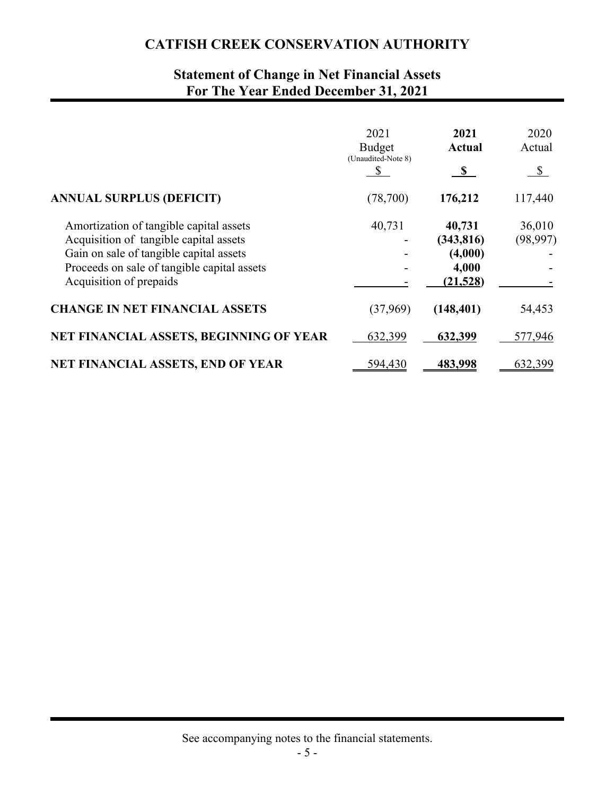## **Statement of Change in Net Financial Assets For The Year Ended December 31, 2021**

|                                                                                                                                                                                                        | 2021<br><b>Budget</b><br>(Unaudited-Note 8)<br><sup>S</sup> | 2021<br>Actual<br>S.                                 | 2020<br>Actual<br>$\mathbb{S}$ |
|--------------------------------------------------------------------------------------------------------------------------------------------------------------------------------------------------------|-------------------------------------------------------------|------------------------------------------------------|--------------------------------|
| <b>ANNUAL SURPLUS (DEFICIT)</b>                                                                                                                                                                        | (78,700)                                                    | 176,212                                              | 117,440                        |
| Amortization of tangible capital assets<br>Acquisition of tangible capital assets<br>Gain on sale of tangible capital assets<br>Proceeds on sale of tangible capital assets<br>Acquisition of prepaids | 40,731                                                      | 40,731<br>(343, 816)<br>(4,000)<br>4,000<br>(21,528) | 36,010<br>(98, 997)            |
| <b>CHANGE IN NET FINANCIAL ASSETS</b>                                                                                                                                                                  | (37,969)                                                    | (148, 401)                                           | 54,453                         |
| NET FINANCIAL ASSETS, BEGINNING OF YEAR                                                                                                                                                                | 632,399                                                     | 632,399                                              | 577,946                        |
| <b>NET FINANCIAL ASSETS, END OF YEAR</b>                                                                                                                                                               | 594,430                                                     | 483,998                                              | 632,399                        |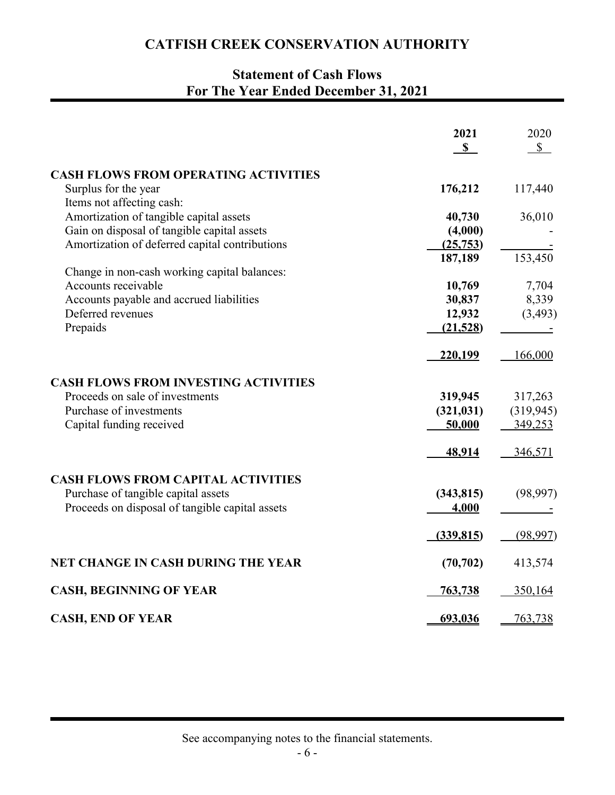## **Statement of Cash Flows For The Year Ended December 31, 2021**

|                                                   | 2021<br>$\mathbf S$ | 2020<br>$\mathbb{S}$ |
|---------------------------------------------------|---------------------|----------------------|
| <b>CASH FLOWS FROM OPERATING ACTIVITIES</b>       |                     |                      |
| Surplus for the year<br>Items not affecting cash: | 176,212             | 117,440              |
| Amortization of tangible capital assets           | 40,730              | 36,010               |
| Gain on disposal of tangible capital assets       | (4,000)             |                      |
| Amortization of deferred capital contributions    | (25,753)            |                      |
|                                                   | 187,189             | 153,450              |
| Change in non-cash working capital balances:      |                     |                      |
| Accounts receivable                               | 10,769              | 7,704                |
| Accounts payable and accrued liabilities          | 30,837              | 8,339                |
| Deferred revenues                                 | 12,932              | (3, 493)             |
| Prepaids                                          | (21,528)            |                      |
|                                                   | 220,199             | 166,000              |
| <b>CASH FLOWS FROM INVESTING ACTIVITIES</b>       |                     |                      |
| Proceeds on sale of investments                   | 319,945             | 317,263              |
| Purchase of investments                           | (321, 031)          | (319, 945)           |
| Capital funding received                          | 50,000              | 349,253              |
|                                                   | 48,914              | 346,571              |
| <b>CASH FLOWS FROM CAPITAL ACTIVITIES</b>         |                     |                      |
| Purchase of tangible capital assets               | (343, 815)          | (98, 997)            |
| Proceeds on disposal of tangible capital assets   | 4,000               |                      |
|                                                   | (339, 815)          | (98,997)             |
| <b>NET CHANGE IN CASH DURING THE YEAR</b>         | (70, 702)           | 413,574              |
| <b>CASH, BEGINNING OF YEAR</b>                    | 763,738             | 350,164              |
| <b>CASH, END OF YEAR</b>                          | 693,036             | 763,738              |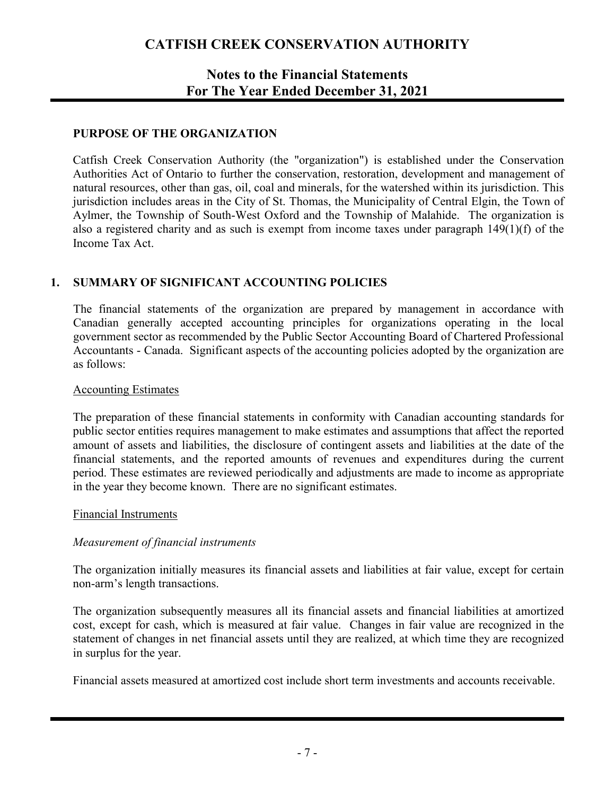## **Notes to the Financial Statements For The Year Ended December 31, 2021**

### **PURPOSE OF THE ORGANIZATION**

Catfish Creek Conservation Authority (the "organization") is established under the Conservation Authorities Act of Ontario to further the conservation, restoration, development and management of natural resources, other than gas, oil, coal and minerals, for the watershed within its jurisdiction. This jurisdiction includes areas in the City of St. Thomas, the Municipality of Central Elgin, the Town of Aylmer, the Township of South-West Oxford and the Township of Malahide. The organization is also a registered charity and as such is exempt from income taxes under paragraph 149(1)(f) of the Income Tax Act.

### **1. SUMMARY OF SIGNIFICANT ACCOUNTING POLICIES**

The financial statements of the organization are prepared by management in accordance with Canadian generally accepted accounting principles for organizations operating in the local government sector as recommended by the Public Sector Accounting Board of Chartered Professional Accountants - Canada. Significant aspects of the accounting policies adopted by the organization are as follows:

### Accounting Estimates

The preparation of these financial statements in conformity with Canadian accounting standards for public sector entities requires management to make estimates and assumptions that affect the reported amount of assets and liabilities, the disclosure of contingent assets and liabilities at the date of the financial statements, and the reported amounts of revenues and expenditures during the current period. These estimates are reviewed periodically and adjustments are made to income as appropriate in the year they become known. There are no significant estimates.

### Financial Instruments

### *Measurement of financial instruments*

The organization initially measures its financial assets and liabilities at fair value, except for certain non-arm's length transactions.

The organization subsequently measures all its financial assets and financial liabilities at amortized cost, except for cash, which is measured at fair value. Changes in fair value are recognized in the statement of changes in net financial assets until they are realized, at which time they are recognized in surplus for the year.

Financial assets measured at amortized cost include short term investments and accounts receivable.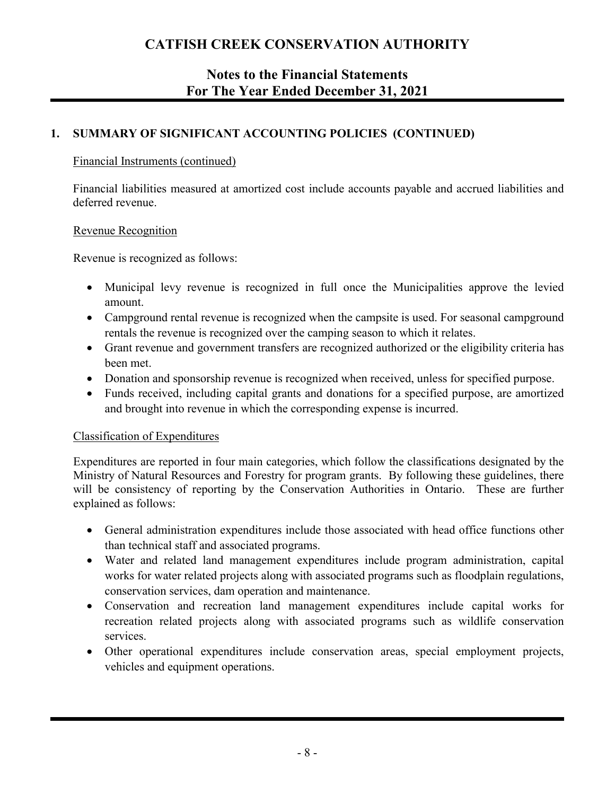## **Notes to the Financial Statements For The Year Ended December 31, 2021**

### **1. SUMMARY OF SIGNIFICANT ACCOUNTING POLICIES (CONTINUED)**

### Financial Instruments (continued)

Financial liabilities measured at amortized cost include accounts payable and accrued liabilities and deferred revenue.

### Revenue Recognition

Revenue is recognized as follows:

- Municipal levy revenue is recognized in full once the Municipalities approve the levied amount.
- Campground rental revenue is recognized when the campsite is used. For seasonal campground rentals the revenue is recognized over the camping season to which it relates.
- Grant revenue and government transfers are recognized authorized or the eligibility criteria has been met.
- Donation and sponsorship revenue is recognized when received, unless for specified purpose.
- Funds received, including capital grants and donations for a specified purpose, are amortized and brought into revenue in which the corresponding expense is incurred.

### Classification of Expenditures

Expenditures are reported in four main categories, which follow the classifications designated by the Ministry of Natural Resources and Forestry for program grants. By following these guidelines, there will be consistency of reporting by the Conservation Authorities in Ontario. These are further explained as follows:

- General administration expenditures include those associated with head office functions other than technical staff and associated programs.
- Water and related land management expenditures include program administration, capital works for water related projects along with associated programs such as floodplain regulations, conservation services, dam operation and maintenance.
- Conservation and recreation land management expenditures include capital works for recreation related projects along with associated programs such as wildlife conservation services.
- Other operational expenditures include conservation areas, special employment projects, vehicles and equipment operations.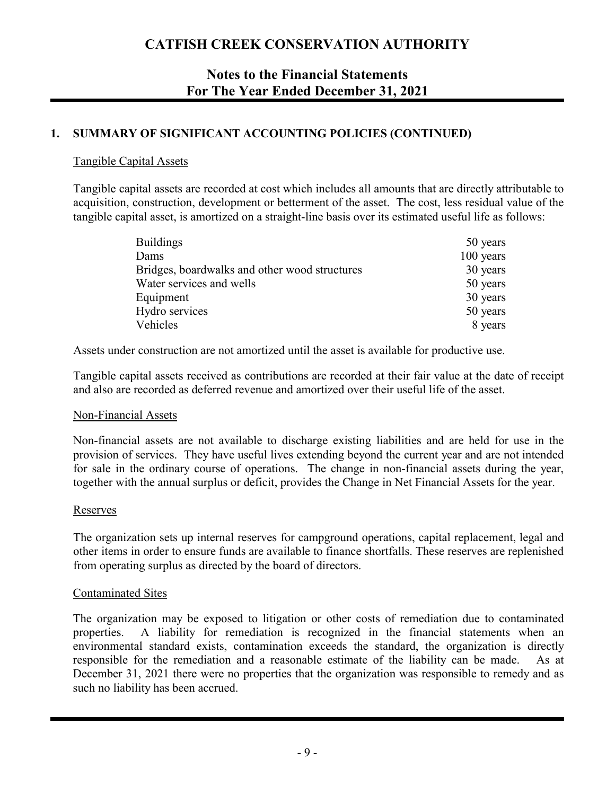## **Notes to the Financial Statements For The Year Ended December 31, 2021**

### **1. SUMMARY OF SIGNIFICANT ACCOUNTING POLICIES (CONTINUED)**

### Tangible Capital Assets

Tangible capital assets are recorded at cost which includes all amounts that are directly attributable to acquisition, construction, development or betterment of the asset. The cost, less residual value of the tangible capital asset, is amortized on a straight-line basis over its estimated useful life as follows:

| <b>Buildings</b>                              | 50 years  |
|-----------------------------------------------|-----------|
| Dams                                          | 100 years |
| Bridges, boardwalks and other wood structures | 30 years  |
| Water services and wells                      | 50 years  |
| Equipment                                     | 30 years  |
| Hydro services                                | 50 years  |
| Vehicles                                      | 8 years   |

Assets under construction are not amortized until the asset is available for productive use.

Tangible capital assets received as contributions are recorded at their fair value at the date of receipt and also are recorded as deferred revenue and amortized over their useful life of the asset.

### Non-Financial Assets

Non-financial assets are not available to discharge existing liabilities and are held for use in the provision of services. They have useful lives extending beyond the current year and are not intended for sale in the ordinary course of operations. The change in non-financial assets during the year, together with the annual surplus or deficit, provides the Change in Net Financial Assets for the year.

### Reserves

The organization sets up internal reserves for campground operations, capital replacement, legal and other items in order to ensure funds are available to finance shortfalls. These reserves are replenished from operating surplus as directed by the board of directors.

### Contaminated Sites

The organization may be exposed to litigation or other costs of remediation due to contaminated properties. A liability for remediation is recognized in the financial statements when an environmental standard exists, contamination exceeds the standard, the organization is directly responsible for the remediation and a reasonable estimate of the liability can be made. As at December 31, 2021 there were no properties that the organization was responsible to remedy and as such no liability has been accrued.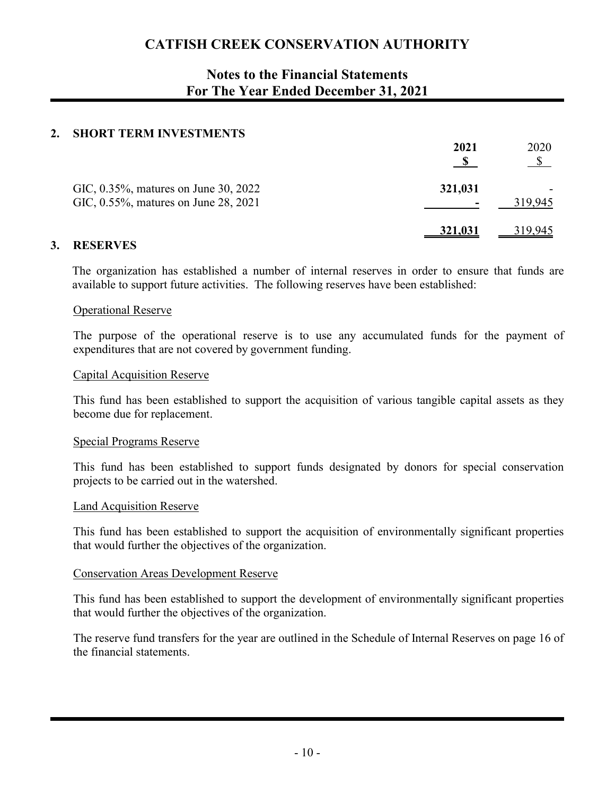## **Notes to the Financial Statements For The Year Ended December 31, 2021**

### **2. SHORT TERM INVESTMENTS**

|                                                                              | 2021           | 2020    |
|------------------------------------------------------------------------------|----------------|---------|
| GIC, 0.35%, matures on June 30, 2022<br>GIC, 0.55%, matures on June 28, 2021 | 321,031        | 319.945 |
|                                                                              | <u>321,031</u> | 319.945 |

### **3. RESERVES**

The organization has established a number of internal reserves in order to ensure that funds are available to support future activities. The following reserves have been established:

### Operational Reserve

The purpose of the operational reserve is to use any accumulated funds for the payment of expenditures that are not covered by government funding.

#### Capital Acquisition Reserve

This fund has been established to support the acquisition of various tangible capital assets as they become due for replacement.

### Special Programs Reserve

This fund has been established to support funds designated by donors for special conservation projects to be carried out in the watershed.

#### Land Acquisition Reserve

This fund has been established to support the acquisition of environmentally significant properties that would further the objectives of the organization.

#### Conservation Areas Development Reserve

This fund has been established to support the development of environmentally significant properties that would further the objectives of the organization.

The reserve fund transfers for the year are outlined in the Schedule of Internal Reserves on page 16 of the financial statements.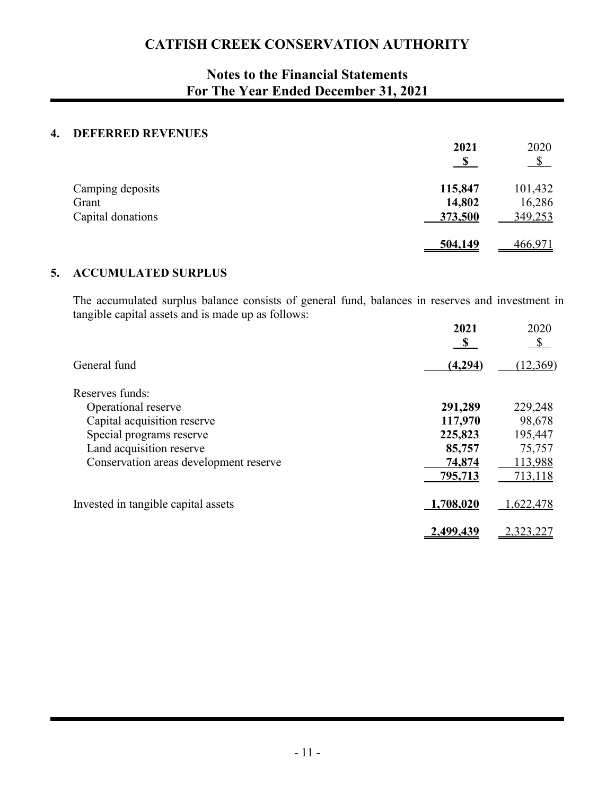## **Notes to the Financial Statements For The Year Ended December 31, 2021**

### **4. DEFERRED REVENUES**

|                   | 2021<br>\$     | 2020<br>$\sqrt{s}$ |
|-------------------|----------------|--------------------|
| Camping deposits  | 115,847        | 101,432            |
| Grant             | 14,802         | 16,286             |
| Capital donations | 373,500        | 349,253            |
|                   | <u>504,149</u> | 466,971            |

### **5. ACCUMULATED SURPLUS**

The accumulated surplus balance consists of general fund, balances in reserves and investment in tangible capital assets and is made up as follows:

|                                        | 2021<br>$\mathbf{S}$ | 2020<br>\$ |
|----------------------------------------|----------------------|------------|
| General fund                           | (4,294)              | (12,369)   |
| Reserves funds:                        |                      |            |
| Operational reserve                    | 291,289              | 229,248    |
| Capital acquisition reserve            | 117,970              | 98,678     |
| Special programs reserve               | 225,823              | 195,447    |
| Land acquisition reserve               | 85,757               | 75,757     |
| Conservation areas development reserve | 74,874               | 113,988    |
|                                        | 795,713              | 713,118    |
| Invested in tangible capital assets    | 1,708,020            | 1,622,478  |
|                                        | 2,499,439            | 2,323,227  |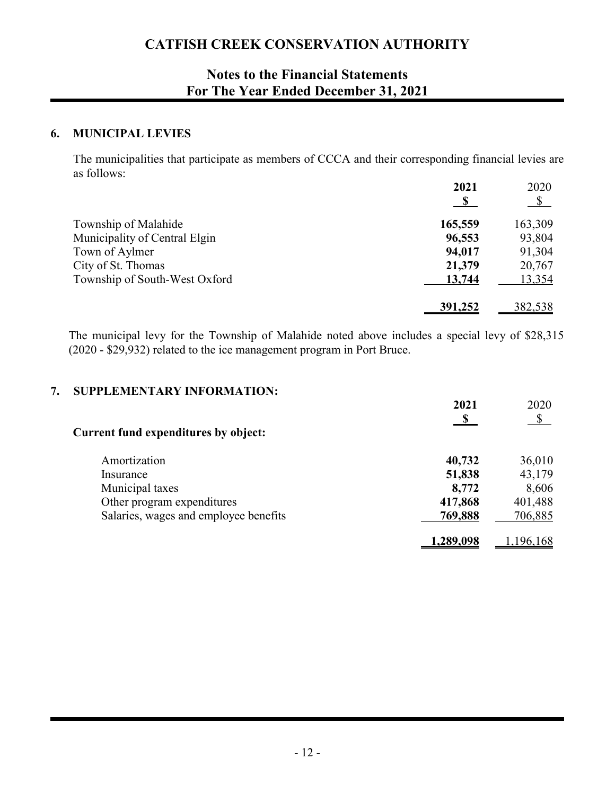## **Notes to the Financial Statements For The Year Ended December 31, 2021**

### **6. MUNICIPAL LEVIES**

The municipalities that participate as members of CCCA and their corresponding financial levies are as follows:

|                               | 2021<br>$\frac{\mathbf{s}}{\mathbf{s}}$ | 2020<br>$\overline{\mathcal{S}}$ |
|-------------------------------|-----------------------------------------|----------------------------------|
| Township of Malahide          | 165,559                                 | 163,309                          |
| Municipality of Central Elgin | 96,553                                  | 93,804                           |
| Town of Aylmer                | 94,017                                  | 91,304                           |
| City of St. Thomas            | 21,379                                  | 20,767                           |
| Township of South-West Oxford | 13,744                                  | 13,354                           |
|                               | 391,252                                 | 382,538                          |

The municipal levy for the Township of Malahide noted above includes a special levy of \$28,315 (2020 - \$29,932) related to the ice management program in Port Bruce.

### **7. SUPPLEMENTARY INFORMATION:**

|                                             | 2021      | 2020         |
|---------------------------------------------|-----------|--------------|
|                                             |           | $\mathbb{S}$ |
| <b>Current fund expenditures by object:</b> |           |              |
| Amortization                                | 40,732    | 36,010       |
| Insurance                                   | 51,838    | 43,179       |
| Municipal taxes                             | 8,772     | 8,606        |
| Other program expenditures                  | 417,868   | 401,488      |
| Salaries, wages and employee benefits       | 769,888   | 706,885      |
|                                             | 1,289,098 | ,196,168     |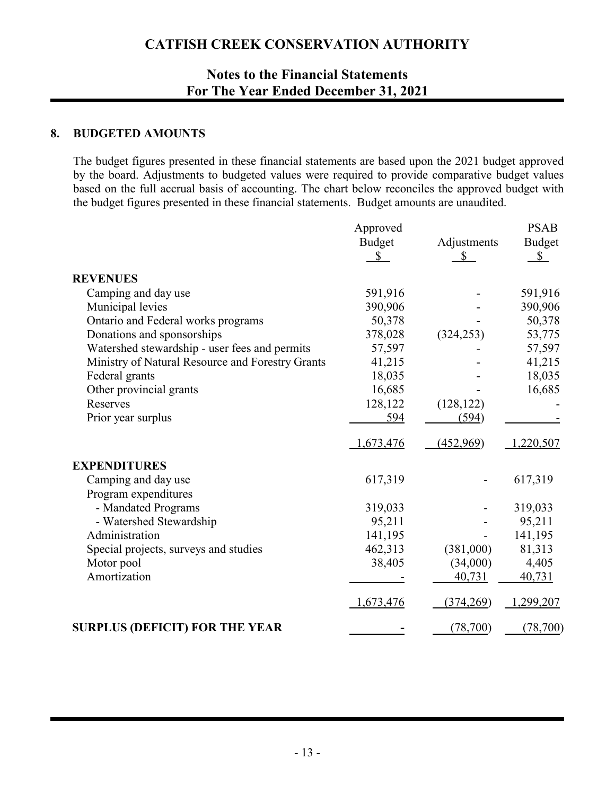## **Notes to the Financial Statements For The Year Ended December 31, 2021**

### **8. BUDGETED AMOUNTS**

The budget figures presented in these financial statements are based upon the 2021 budget approved by the board. Adjustments to budgeted values were required to provide comparative budget values based on the full accrual basis of accounting. The chart below reconciles the approved budget with the budget figures presented in these financial statements. Budget amounts are unaudited.

|                                                  | Approved      |             | <b>PSAB</b>   |
|--------------------------------------------------|---------------|-------------|---------------|
|                                                  | <b>Budget</b> | Adjustments | <b>Budget</b> |
|                                                  | \$            | \$          | \$            |
| <b>REVENUES</b>                                  |               |             |               |
| Camping and day use                              | 591,916       |             | 591,916       |
| Municipal levies                                 | 390,906       |             | 390,906       |
| Ontario and Federal works programs               | 50,378        |             | 50,378        |
| Donations and sponsorships                       | 378,028       | (324, 253)  | 53,775        |
| Watershed stewardship - user fees and permits    | 57,597        |             | 57,597        |
| Ministry of Natural Resource and Forestry Grants | 41,215        |             | 41,215        |
| Federal grants                                   | 18,035        |             | 18,035        |
| Other provincial grants                          | 16,685        |             | 16,685        |
| Reserves                                         | 128,122       | (128, 122)  |               |
| Prior year surplus                               | 594           | (594)       |               |
|                                                  | 1,673,476     | (452,969)   | 1,220,507     |
| <b>EXPENDITURES</b>                              |               |             |               |
| Camping and day use                              | 617,319       |             | 617,319       |
| Program expenditures                             |               |             |               |
| - Mandated Programs                              | 319,033       |             | 319,033       |
| - Watershed Stewardship                          | 95,211        |             | 95,211        |
| Administration                                   | 141,195       |             | 141,195       |
| Special projects, surveys and studies            | 462,313       | (381,000)   | 81,313        |
| Motor pool                                       | 38,405        | (34,000)    | 4,405         |
| Amortization                                     |               | 40,731      | 40,731        |
|                                                  | 1,673,476     | (374, 269)  | 1,299,207     |
| <b>SURPLUS (DEFICIT) FOR THE YEAR</b>            |               | (78,700)    | (78, 700)     |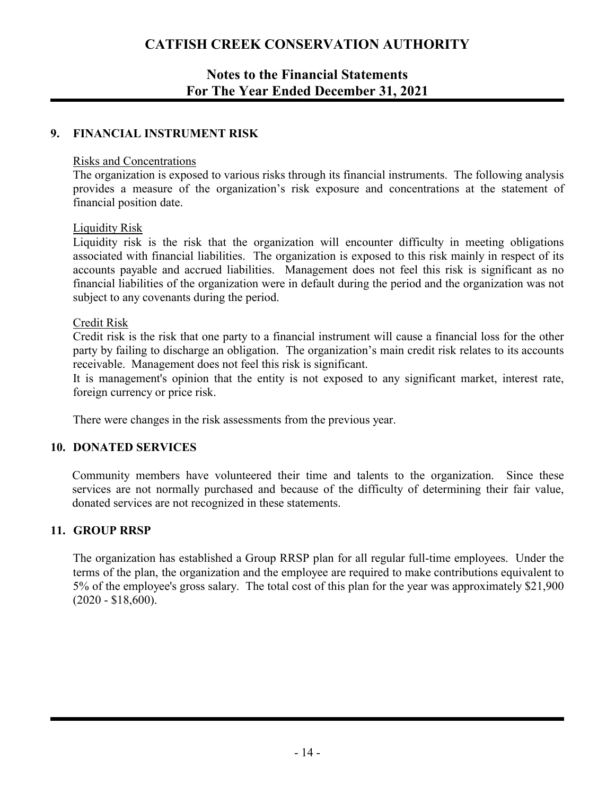### **Notes to the Financial Statements For The Year Ended December 31, 2021**

### **9. FINANCIAL INSTRUMENT RISK**

#### Risks and Concentrations

The organization is exposed to various risks through its financial instruments. The following analysis provides a measure of the organization's risk exposure and concentrations at the statement of financial position date.

### Liquidity Risk

Liquidity risk is the risk that the organization will encounter difficulty in meeting obligations associated with financial liabilities. The organization is exposed to this risk mainly in respect of its accounts payable and accrued liabilities. Management does not feel this risk is significant as no financial liabilities of the organization were in default during the period and the organization was not subject to any covenants during the period.

#### Credit Risk

Credit risk is the risk that one party to a financial instrument will cause a financial loss for the other party by failing to discharge an obligation. The organization's main credit risk relates to its accounts receivable. Management does not feel this risk is significant.

It is management's opinion that the entity is not exposed to any significant market, interest rate, foreign currency or price risk.

There were changes in the risk assessments from the previous year.

### **10. DONATED SERVICES**

Community members have volunteered their time and talents to the organization. Since these services are not normally purchased and because of the difficulty of determining their fair value, donated services are not recognized in these statements.

### **11. GROUP RRSP**

The organization has established a Group RRSP plan for all regular full-time employees. Under the terms of the plan, the organization and the employee are required to make contributions equivalent to 5% of the employee's gross salary. The total cost of this plan for the year was approximately \$21,900 (2020 - \$18,600).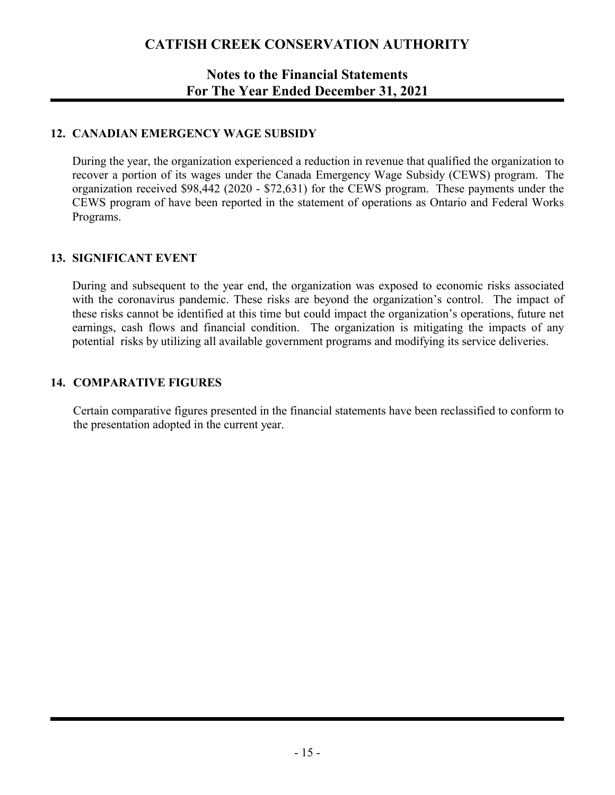## **Notes to the Financial Statements For The Year Ended December 31, 2021**

### **12. CANADIAN EMERGENCY WAGE SUBSIDY**

During the year, the organization experienced a reduction in revenue that qualified the organization to recover a portion of its wages under the Canada Emergency Wage Subsidy (CEWS) program. The organization received \$98,442 (2020 - \$72,631) for the CEWS program. These payments under the CEWS program of have been reported in the statement of operations as Ontario and Federal Works Programs.

### **13. SIGNIFICANT EVENT**

During and subsequent to the year end, the organization was exposed to economic risks associated with the coronavirus pandemic. These risks are beyond the organization's control. The impact of these risks cannot be identified at this time but could impact the organization's operations, future net earnings, cash flows and financial condition. The organization is mitigating the impacts of any potential risks by utilizing all available government programs and modifying its service deliveries.

### **14. COMPARATIVE FIGURES**

Certain comparative figures presented in the financial statements have been reclassified to conform to the presentation adopted in the current year.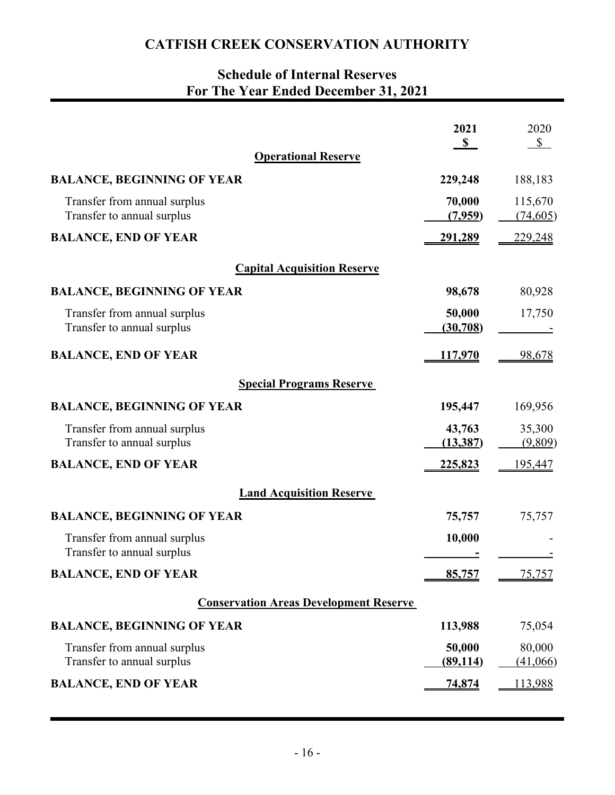## **Schedule of Internal Reserves For The Year Ended December 31, 2021**

|                                                            | 2021                | 2020                |
|------------------------------------------------------------|---------------------|---------------------|
| <b>Operational Reserve</b>                                 | $\mathbb{S}$        | $\mathbb{S}$        |
| <b>BALANCE, BEGINNING OF YEAR</b>                          | 229,248             | 188,183             |
| Transfer from annual surplus<br>Transfer to annual surplus | 70,000<br>(7,959)   | 115,670<br>(74,605) |
| <b>BALANCE, END OF YEAR</b>                                | <u>291,289</u>      | 229,248             |
| <b>Capital Acquisition Reserve</b>                         |                     |                     |
| <b>BALANCE, BEGINNING OF YEAR</b>                          | 98,678              | 80,928              |
| Transfer from annual surplus<br>Transfer to annual surplus | 50,000<br>(30,708)  | 17,750              |
| <b>BALANCE, END OF YEAR</b>                                | <u>117,970</u>      | 98,678              |
| <b>Special Programs Reserve</b>                            |                     |                     |
| <b>BALANCE, BEGINNING OF YEAR</b>                          | 195,447             | 169,956             |
| Transfer from annual surplus<br>Transfer to annual surplus | 43,763<br>(13, 387) | 35,300<br>(9,809)   |
| <b>BALANCE, END OF YEAR</b>                                | <u>225,823</u>      | <u>195,447</u>      |
| <b>Land Acquisition Reserve</b>                            |                     |                     |
| <b>BALANCE, BEGINNING OF YEAR</b>                          | 75,757              | 75,757              |
| Transfer from annual surplus<br>Transfer to annual surplus | 10,000              |                     |
| <b>BALANCE, END OF YEAR</b>                                | 85,757              | 75,757              |
| <b>Conservation Areas Development Reserve</b>              |                     |                     |
| <b>BALANCE, BEGINNING OF YEAR</b>                          | 113,988             | 75,054              |
| Transfer from annual surplus<br>Transfer to annual surplus | 50,000<br>(89, 114) | 80,000<br>(41,066)  |
| <b>BALANCE, END OF YEAR</b>                                | <u>74,874</u>       | 113,988             |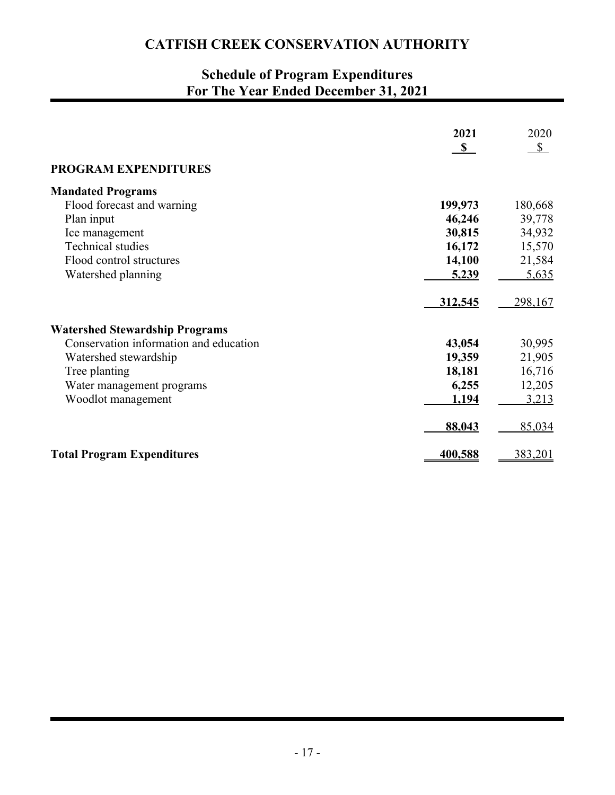# **Schedule of Program Expenditures For The Year Ended December 31, 2021**

| <b>PROGRAM EXPENDITURES</b>            | 2021<br>$\mathbf{s}$ | 2020<br>$\sqrt{\ }$ |
|----------------------------------------|----------------------|---------------------|
|                                        |                      |                     |
| <b>Mandated Programs</b>               |                      |                     |
| Flood forecast and warning             | 199,973              | 180,668             |
| Plan input                             | 46,246               | 39,778              |
| Ice management                         | 30,815               | 34,932              |
| <b>Technical</b> studies               | 16,172               | 15,570              |
| Flood control structures               | 14,100               | 21,584              |
| Watershed planning                     | 5,239                | 5,635               |
|                                        | 312,545              | 298,167             |
| <b>Watershed Stewardship Programs</b>  |                      |                     |
| Conservation information and education | 43,054               | 30,995              |
| Watershed stewardship                  | 19,359               | 21,905              |
| Tree planting                          | 18,181               | 16,716              |
| Water management programs              | 6,255                | 12,205              |
| Woodlot management                     | 1,194                | 3,213               |
|                                        |                      |                     |
|                                        | 88,043               | 85,034              |
| <b>Total Program Expenditures</b>      | 400,588              | 383,201             |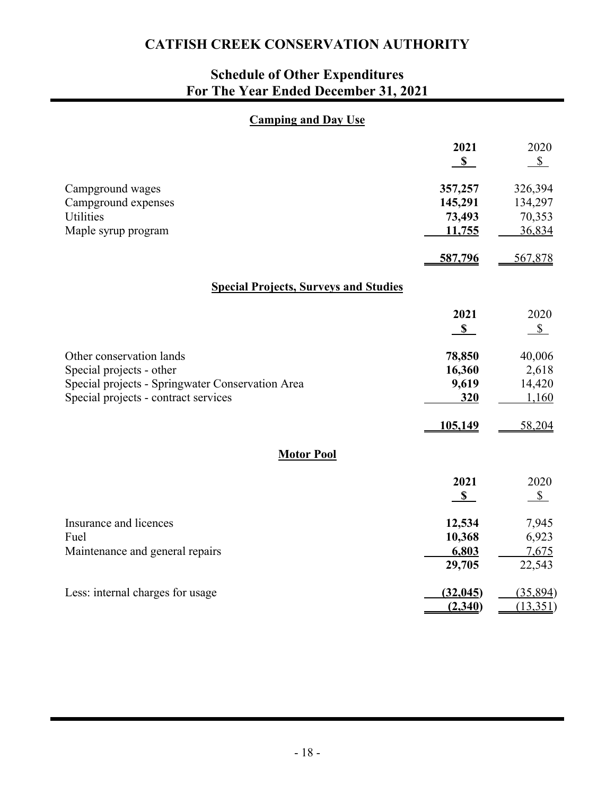# **Schedule of Other Expenditures For The Year Ended December 31, 2021**

### **Camping and Day Use**

|                                                  | 2021<br>$\mathbf S$ | 2020<br>$S_{-}$ |
|--------------------------------------------------|---------------------|-----------------|
| Campground wages                                 | 357,257             | 326,394         |
| Campground expenses                              | 145,291             | 134,297         |
| <b>Utilities</b>                                 | 73,493              | 70,353          |
| Maple syrup program                              | 11,755              | 36,834          |
|                                                  | 587,796             | 567,878         |
| <b>Special Projects, Surveys and Studies</b>     |                     |                 |
|                                                  | 2021                | 2020            |
|                                                  | $\mathbf S$         | $\sqrt{s}$      |
|                                                  |                     |                 |
| Other conservation lands                         | 78,850              | 40,006          |
| Special projects - other                         | 16,360              | 2,618           |
| Special projects - Springwater Conservation Area | 9,619               | 14,420          |
| Special projects - contract services             | 320                 | 1,160           |
|                                                  | 105,149             | 58,204          |
| <b>Motor Pool</b>                                |                     |                 |
|                                                  | 2021                | 2020            |
|                                                  | S                   | $\sqrt{s}$      |
|                                                  |                     |                 |
| Insurance and licences                           | 12,534              | 7,945           |
| Fuel                                             | 10,368              | 6,923           |
| Maintenance and general repairs                  | 6,803               | 7,675           |
|                                                  | 29,705              | 22,543          |
|                                                  |                     |                 |
| Less: internal charges for usage                 | (32, 045)           | (35,894)        |
|                                                  | (2,340)             | (13,351)        |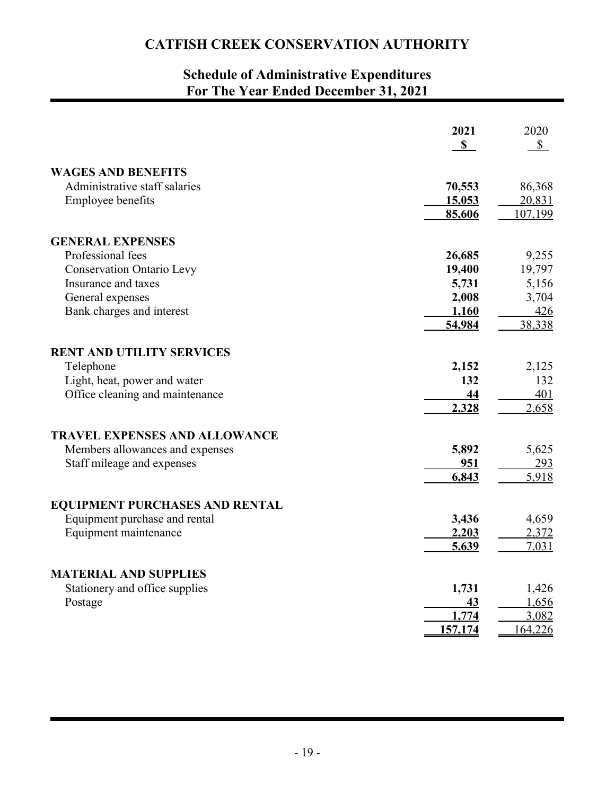# **Schedule of Administrative Expenditures For The Year Ended December 31, 2021**

|                                       | 2021<br>$\mathbf S$ | 2020<br>$\mathbb{S}^-$ |
|---------------------------------------|---------------------|------------------------|
| <b>WAGES AND BENEFITS</b>             |                     |                        |
| Administrative staff salaries         | 70,553              | 86,368                 |
| <b>Employee benefits</b>              | 15,053              | 20,831                 |
|                                       | 85,606              | 107,199                |
| <b>GENERAL EXPENSES</b>               |                     |                        |
| Professional fees                     | 26,685              | 9,255                  |
| <b>Conservation Ontario Levy</b>      | 19,400              | 19,797                 |
| Insurance and taxes                   | 5,731               | 5,156                  |
| General expenses                      | 2,008               | 3,704                  |
| Bank charges and interest             | 1,160               | 426                    |
|                                       | 54,984              | 38,338                 |
| <b>RENT AND UTILITY SERVICES</b>      |                     |                        |
| Telephone                             | 2,152               | 2,125                  |
| Light, heat, power and water          | 132                 | 132                    |
| Office cleaning and maintenance       | 44                  | 401                    |
|                                       | 2,328               | 2,658                  |
|                                       |                     |                        |
| <b>TRAVEL EXPENSES AND ALLOWANCE</b>  |                     |                        |
| Members allowances and expenses       | 5,892               | 5,625                  |
| Staff mileage and expenses            | 951                 | 293                    |
|                                       | 6,843               | 5,918                  |
| <b>EQUIPMENT PURCHASES AND RENTAL</b> |                     |                        |
| Equipment purchase and rental         | 3,436               | 4,659                  |
| Equipment maintenance                 | 2,203               | 2,372                  |
|                                       | 5,639               | 7,031                  |
| <b>MATERIAL AND SUPPLIES</b>          |                     |                        |
| Stationery and office supplies        | 1,731               | 1,426                  |
| Postage                               | 43                  | 1,656                  |
|                                       | 1,774               | 3,082                  |
|                                       | 157,174             | 164,226                |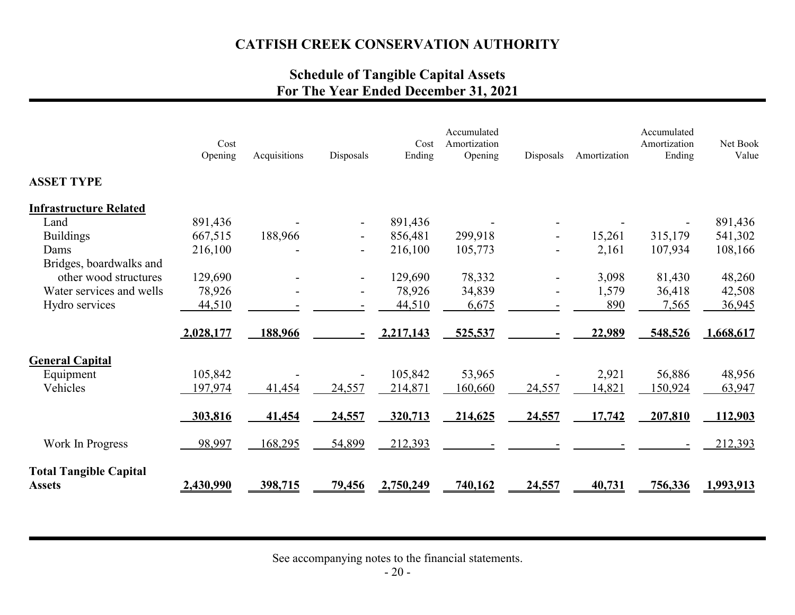## **Schedule of Tangible Capital Assets For The Year Ended December 31, 2021**

|                                                | Cost<br>Opening | Acquisitions | Disposals                | Cost<br>Ending | Accumulated<br>Amortization<br>Opening | Disposals      | Amortization | Accumulated<br>Amortization<br>Ending | Net Book<br>Value |
|------------------------------------------------|-----------------|--------------|--------------------------|----------------|----------------------------------------|----------------|--------------|---------------------------------------|-------------------|
| <b>ASSET TYPE</b>                              |                 |              |                          |                |                                        |                |              |                                       |                   |
| <b>Infrastructure Related</b>                  |                 |              |                          |                |                                        |                |              |                                       |                   |
| Land                                           | 891,436         |              | Ξ.                       | 891,436        |                                        |                |              |                                       | 891,436           |
| <b>Buildings</b>                               | 667,515         | 188,966      | $\overline{\phantom{a}}$ | 856,481        | 299,918                                | $\blacksquare$ | 15,261       | 315,179                               | 541,302           |
| Dams                                           | 216,100         |              | $\overline{\phantom{0}}$ | 216,100        | 105,773                                |                | 2,161        | 107,934                               | 108,166           |
| Bridges, boardwalks and                        |                 |              |                          |                |                                        |                |              |                                       |                   |
| other wood structures                          | 129,690         |              | $\blacksquare$           | 129,690        | 78,332                                 |                | 3,098        | 81,430                                | 48,260            |
| Water services and wells                       | 78,926          |              | $\overline{\phantom{a}}$ | 78,926         | 34,839                                 |                | 1,579        | 36,418                                | 42,508            |
| Hydro services                                 | 44,510          |              |                          | 44,510         | 6,675                                  |                | 890          | 7,565                                 | 36,945            |
|                                                | 2,028,177       | 188,966      |                          | 2,217,143      | 525,537                                |                | 22,989       | 548,526                               | 1,668,617         |
| <b>General Capital</b>                         |                 |              |                          |                |                                        |                |              |                                       |                   |
| Equipment                                      | 105,842         |              | $\blacksquare$           | 105,842        | 53,965                                 |                | 2,921        | 56,886                                | 48,956            |
| Vehicles                                       | 197,974         | 41,454       | 24,557                   | 214,871        | 160,660                                | 24,557         | 14,821       | 150,924                               | 63,947            |
|                                                | 303,816         | 41,454       | 24,557                   | 320,713        | 214,625                                | 24,557         | 17,742       | 207,810                               | 112,903           |
| Work In Progress                               | 98,997          | 168,295      | 54,899                   | 212,393        |                                        |                |              |                                       | 212,393           |
| <b>Total Tangible Capital</b><br><b>Assets</b> | 2,430,990       | 398,715      | 79,456                   | 2,750,249      | 740,162                                | 24,557         | 40,731       | 756,336                               | 1,993,913         |

See accompanying notes to the financial statements.